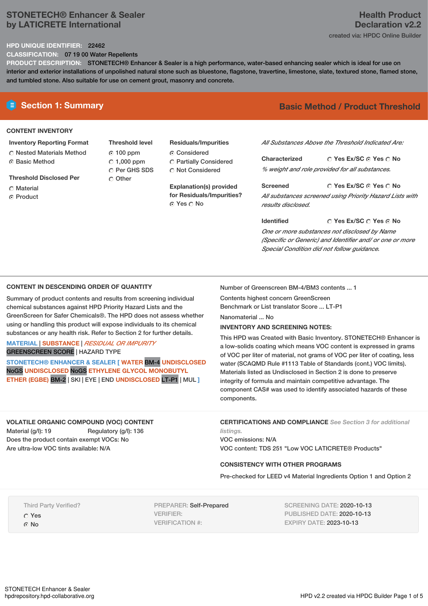### **STONETECH® Enhancer & Sealer by LATICRETE International**

#### **HPD UNIQUE IDENTIFIER:** 22462

**CLASSIFICATION:** 07 19 00 Water Repellents

**PRODUCT DESCRIPTION:** STONETECH® Enhancer & Sealer is a high performance, water-based enhancing sealer which is ideal for use on interior and exterior installations of unpolished natural stone such as bluestone, flagstone, travertine, limestone, slate, textured stone, flamed stone, and tumbled stone. Also suitable for use on cement grout, masonry and concrete.

### **CONTENT INVENTORY**

### **Inventory Reporting Format**

**C** Nested Materials Method ⊙ Basic Method

**Threshold Disclosed Per**

- C Material
- C Product

**Threshold level** 100 ppm  $\degree$  1,000 ppm C Per GHS SDS C Other

## **Residuals/Impurities**

Considered Partially Considered C Not Considered

**Explanation(s) provided for Residuals/Impurities?** © Yes ○ No

# **E** Section 1: Summary **Basic Method / Product Threshold**

*All Substances Above the Threshold Indicated Are:*

**Yes Ex/SC Yes No Characterized** *% weight and role provided for all substances.*

**Yes Ex/SC Yes No Screened** *All substances screened using Priority Hazard Lists with results disclosed.*

**Yes Ex/SC Yes No Identified** *One or more substances not disclosed by Name (Specific or Generic) and Identifier and/ or one or more Special Condition did not follow guidance.*

### **CONTENT IN DESCENDING ORDER OF QUANTITY**

Summary of product contents and results from screening individual chemical substances against HPD Priority Hazard Lists and the GreenScreen for Safer Chemicals®. The HPD does not assess whether using or handling this product will expose individuals to its chemical substances or any health risk. Refer to Section 2 for further details.

### **MATERIAL** | **SUBSTANCE** | *RESIDUAL OR IMPURITY* GREENSCREEN SCORE | HAZARD TYPE

**STONETECH® ENHANCER & SEALER [ WATER** BM-4 **UNDISCLOSED** NoGS **UNDISCLOSED** NoGS **ETHYLENE GLYCOL MONOBUTYL ETHER (EGBE)** BM-2 | SKI | EYE | END **UNDISCLOSED** LT-P1 | MUL **]**

Number of Greenscreen BM-4/BM3 contents ... 1

Contents highest concern GreenScreen Benchmark or List translator Score ... LT-P1

Nanomaterial ... No

### **INVENTORY AND SCREENING NOTES:**

This HPD was Created with Basic Inventory. STONETECH® Enhancer is a low-solids coating which means VOC content is expressed in grams of VOC per liter of material, not grams of VOC per liter of coating, less water (SCAQMD Rule #1113 Table of Standards (cont.) VOC limits). Materials listed as Undisclosed in Section 2 is done to preserve integrity of formula and maintain competitive advantage. The component CAS# was used to identify associated hazards of these components.

**VOLATILE ORGANIC COMPOUND (VOC) CONTENT** Material (g/l): 19 Regulatory (g/l): 136 Does the product contain exempt VOCs: No Are ultra-low VOC tints available: N/A

**CERTIFICATIONS AND COMPLIANCE** *See Section 3 for additional listings.*

VOC emissions: N/A VOC content: TDS 251 "Low VOC LATICRETE® Products"

### **CONSISTENCY WITH OTHER PROGRAMS**

Pre-checked for LEED v4 Material Ingredients Option 1 and Option 2

Third Party Verified?

Yes ⊙ No

PREPARER: Self-Prepared VERIFIER: VERIFICATION #:

SCREENING DATE: 2020-10-13 PUBLISHED DATE: 2020-10-13 EXPIRY DATE: 2023-10-13

# **Health Product Declaration v2.2**

created via: HPDC Online Builder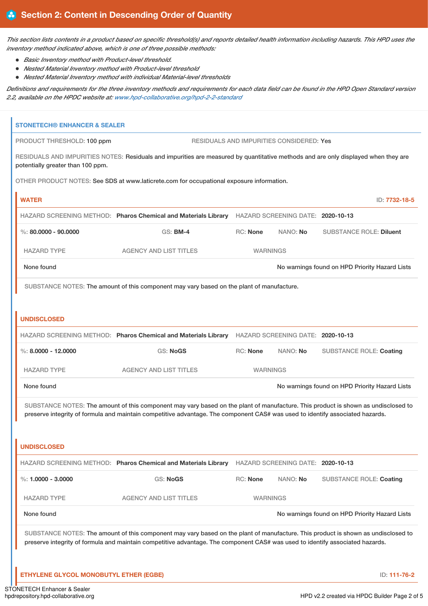This section lists contents in a product based on specific threshold(s) and reports detailed health information including hazards. This HPD uses the *inventory method indicated above, which is one of three possible methods:*

- *Basic Inventory method with Product-level threshold.*
- *Nested Material Inventory method with Product-level threshold*
- *Nested Material Inventory method with individual Material-level thresholds*

Definitions and requirements for the three inventory methods and requirements for each data field can be found in the HPD Open Standard version *2.2, available on the HPDC website at: [www.hpd-collaborative.org/hpd-2-2-standard](https://www.hpd-collaborative.org/hpd-2-2-standard)*

| <b>STONETECH® ENHANCER &amp; SEALER</b>                                                                                                                                                                                                                            |                                                                                                                                    |                 |                                   |                                                |  |
|--------------------------------------------------------------------------------------------------------------------------------------------------------------------------------------------------------------------------------------------------------------------|------------------------------------------------------------------------------------------------------------------------------------|-----------------|-----------------------------------|------------------------------------------------|--|
| <b>RESIDUALS AND IMPURITIES CONSIDERED: Yes</b><br>PRODUCT THRESHOLD: 100 ppm                                                                                                                                                                                      |                                                                                                                                    |                 |                                   |                                                |  |
| potentially greater than 100 ppm.                                                                                                                                                                                                                                  | RESIDUALS AND IMPURITIES NOTES: Residuals and impurities are measured by quantitative methods and are only displayed when they are |                 |                                   |                                                |  |
| OTHER PRODUCT NOTES: See SDS at www.laticrete.com for occupational exposure information.                                                                                                                                                                           |                                                                                                                                    |                 |                                   |                                                |  |
| <b>WATER</b><br>ID: 7732-18-5                                                                                                                                                                                                                                      |                                                                                                                                    |                 |                                   |                                                |  |
|                                                                                                                                                                                                                                                                    | HAZARD SCREENING METHOD: Pharos Chemical and Materials Library HAZARD SCREENING DATE: 2020-10-13                                   |                 |                                   |                                                |  |
| %: $80,0000 - 90,0000$                                                                                                                                                                                                                                             | <b>GS: BM-4</b>                                                                                                                    | <b>RC: None</b> | NANO: No                          | <b>SUBSTANCE ROLE: Diluent</b>                 |  |
| <b>HAZARD TYPE</b>                                                                                                                                                                                                                                                 | <b>AGENCY AND LIST TITLES</b>                                                                                                      | <b>WARNINGS</b> |                                   |                                                |  |
| None found                                                                                                                                                                                                                                                         | No warnings found on HPD Priority Hazard Lists                                                                                     |                 |                                   |                                                |  |
|                                                                                                                                                                                                                                                                    | SUBSTANCE NOTES: The amount of this component may vary based on the plant of manufacture.                                          |                 |                                   |                                                |  |
|                                                                                                                                                                                                                                                                    |                                                                                                                                    |                 |                                   |                                                |  |
| <b>UNDISCLOSED</b>                                                                                                                                                                                                                                                 |                                                                                                                                    |                 |                                   |                                                |  |
|                                                                                                                                                                                                                                                                    | HAZARD SCREENING METHOD: Pharos Chemical and Materials Library HAZARD SCREENING DATE: 2020-10-13                                   |                 |                                   |                                                |  |
| %: $8,0000 - 12,0000$                                                                                                                                                                                                                                              | <b>GS: NoGS</b>                                                                                                                    | RC: None        | NANO: No                          | <b>SUBSTANCE ROLE: Coating</b>                 |  |
| <b>HAZARD TYPE</b>                                                                                                                                                                                                                                                 | <b>AGENCY AND LIST TITLES</b>                                                                                                      | <b>WARNINGS</b> |                                   |                                                |  |
| None found                                                                                                                                                                                                                                                         | No warnings found on HPD Priority Hazard Lists                                                                                     |                 |                                   |                                                |  |
|                                                                                                                                                                                                                                                                    | SUBSTANCE NOTES: The amount of this component may vary based on the plant of manufacture. This product is shown as undisclosed to  |                 |                                   |                                                |  |
|                                                                                                                                                                                                                                                                    | preserve integrity of formula and maintain competitive advantage. The component CAS# was used to identify associated hazards.      |                 |                                   |                                                |  |
|                                                                                                                                                                                                                                                                    |                                                                                                                                    |                 |                                   |                                                |  |
| <b>UNDISCLOSED</b>                                                                                                                                                                                                                                                 |                                                                                                                                    |                 |                                   |                                                |  |
|                                                                                                                                                                                                                                                                    | HAZARD SCREENING METHOD: Pharos Chemical and Materials Library                                                                     |                 | HAZARD SCREENING DATE: 2020-10-13 |                                                |  |
| %: $1.0000 - 3.0000$                                                                                                                                                                                                                                               | GS: NoGS                                                                                                                           | RC: None        | NANO: No                          | <b>SUBSTANCE ROLE: Coating</b>                 |  |
| <b>HAZARD TYPE</b>                                                                                                                                                                                                                                                 | <b>AGENCY AND LIST TITLES</b>                                                                                                      | <b>WARNINGS</b> |                                   |                                                |  |
| None found                                                                                                                                                                                                                                                         |                                                                                                                                    |                 |                                   | No warnings found on HPD Priority Hazard Lists |  |
| SUBSTANCE NOTES: The amount of this component may vary based on the plant of manufacture. This product is shown as undisclosed to<br>preserve integrity of formula and maintain competitive advantage. The component CAS# was used to identify associated hazards. |                                                                                                                                    |                 |                                   |                                                |  |
| ETHYLENE GLYCOL MONOBUTYL ETHER (EGBE)                                                                                                                                                                                                                             |                                                                                                                                    |                 |                                   | ID: 111-76-2                                   |  |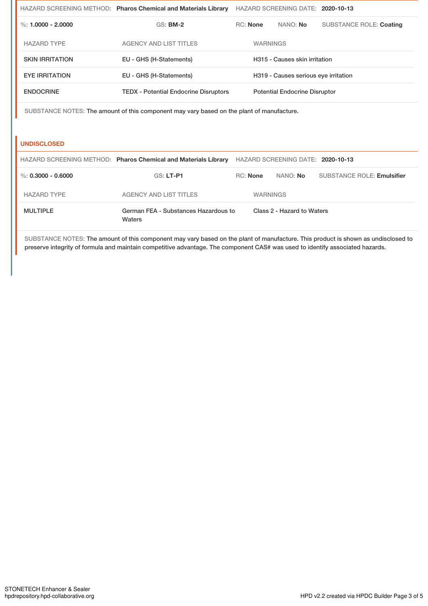|                        | HAZARD SCREENING METHOD: Pharos Chemical and Materials Library | HAZARD SCREENING DATE: 2020-10-13 |                                      |          |                                |  |
|------------------------|----------------------------------------------------------------|-----------------------------------|--------------------------------------|----------|--------------------------------|--|
| %: $1.0000 - 2.0000$   | $GS:$ BM-2                                                     | RC: None                          |                                      | NANO: No | <b>SUBSTANCE ROLE: Coating</b> |  |
| <b>HAZARD TYPE</b>     | <b>AGENCY AND LIST TITLES</b>                                  |                                   | <b>WARNINGS</b>                      |          |                                |  |
| <b>SKIN IRRITATION</b> | EU - GHS (H-Statements)                                        |                                   | H315 - Causes skin irritation        |          |                                |  |
| <b>EYE IRRITATION</b>  | EU - GHS (H-Statements)                                        |                                   | H319 - Causes serious eye irritation |          |                                |  |
| <b>ENDOCRINE</b>       | <b>TEDX</b> - Potential Endocrine Disruptors                   |                                   | <b>Potential Endocrine Disruptor</b> |          |                                |  |
|                        |                                                                |                                   |                                      |          |                                |  |

SUBSTANCE NOTES: The amount of this component may vary based on the plant of manufacture.

### **UNDISCLOSED**

|                      | HAZARD SCREENING METHOD: Pharos Chemical and Materials Library |                 | HAZARD SCREENING DATE: 2020-10-13 |                                   |  |
|----------------------|----------------------------------------------------------------|-----------------|-----------------------------------|-----------------------------------|--|
| %: $0.3000 - 0.6000$ | GS: LT-P1                                                      | $RC:$ None      | NANO: No                          | <b>SUBSTANCE ROLE: Emulsifier</b> |  |
| <b>HAZARD TYPE</b>   | AGENCY AND LIST TITLES                                         | <b>WARNINGS</b> |                                   |                                   |  |
| <b>MULTIPLE</b>      | German FEA - Substances Hazardous to<br>Waters                 |                 | Class 2 - Hazard to Waters        |                                   |  |

SUBSTANCE NOTES: The amount of this component may vary based on the plant of manufacture. This product is shown as undisclosed to preserve integrity of formula and maintain competitive advantage. The component CAS# was used to identify associated hazards.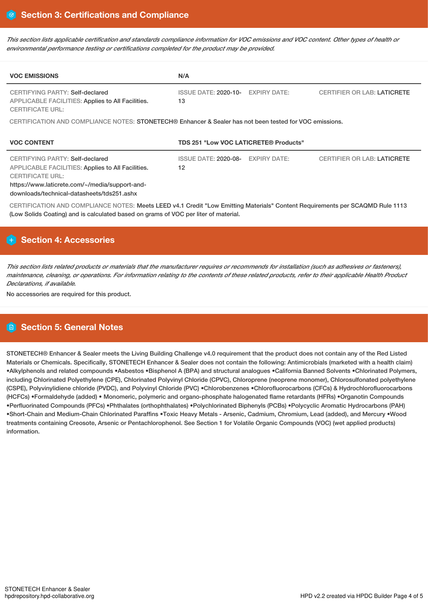This section lists applicable certification and standards compliance information for VOC emissions and VOC content. Other types of health or *environmental performance testing or certifications completed for the product may be provided.*

| <b>VOC EMISSIONS</b>                                                                                                                                                                                                   | N/A                                                      |                                    |  |  |  |  |
|------------------------------------------------------------------------------------------------------------------------------------------------------------------------------------------------------------------------|----------------------------------------------------------|------------------------------------|--|--|--|--|
| <b>CERTIFYING PARTY: Self-declared</b><br><b>APPLICABLE FACILITIES: Applies to All Facilities.</b><br><b>CERTIFICATE URL:</b>                                                                                          | <b>ISSUE DATE: 2020-10-</b><br><b>EXPIRY DATE:</b><br>13 | <b>CERTIFIER OR LAB: LATICRETE</b> |  |  |  |  |
| CERTIFICATION AND COMPLIANCE NOTES: STONETECH® Enhancer & Sealer has not been tested for VOC emissions.                                                                                                                |                                                          |                                    |  |  |  |  |
| <b>VOC CONTENT</b>                                                                                                                                                                                                     | TDS 251 "Low VOC LATICRETE® Products"                    |                                    |  |  |  |  |
| CERTIFYING PARTY: Self-declared<br><b>APPLICABLE FACILITIES: Applies to All Facilities.</b><br><b>CERTIFICATE URL:</b><br>https://www.laticrete.com/~/media/support-and-<br>downloads/technical-datasheets/tds251.ashx | ISSUE DATE: 2020-08-<br><b>EXPIRY DATE:</b><br>12        | <b>CERTIFIER OR LAB: LATICRETE</b> |  |  |  |  |
| CERTIFICATION AND COMPLIANCE NOTES: Meets LEED v4.1 Credit "Low Emitting Materials" Content Requirements per SCAQMD Rule 1113<br>(Low Solids Coating) and is calculated based on grams of VOC per liter of material.   |                                                          |                                    |  |  |  |  |

# **Section 4: Accessories**

This section lists related products or materials that the manufacturer requires or recommends for installation (such as adhesives or fasteners), maintenance, cleaning, or operations. For information relating to the contents of these related products, refer to their applicable Health Product *Declarations, if available.*

No accessories are required for this product.

# **Section 5: General Notes**

STONETECH® Enhancer & Sealer meets the Living Building Challenge v4.0 requirement that the product does not contain any of the Red Listed Materials or Chemicals. Specifically, STONETECH Enhancer & Sealer does not contain the following: Antimicrobials (marketed with a health claim) •Alkylphenols and related compounds •Asbestos •Bisphenol A (BPA) and structural analogues •California Banned Solvents •Chlorinated Polymers, including Chlorinated Polyethylene (CPE), Chlorinated Polyvinyl Chloride (CPVC), Chloroprene (neoprene monomer), Chlorosulfonated polyethylene (CSPE), Polyvinylidiene chloride (PVDC), and Polyvinyl Chloride (PVC) •Chlorobenzenes •Chlorofluorocarbons (CFCs) & Hydrochlorofluorocarbons (HCFCs) •Formaldehyde (added) • Monomeric, polymeric and organo-phosphate halogenated flame retardants (HFRs) •Organotin Compounds •Perfluorinated Compounds (PFCs) •Phthalates (orthophthalates) •Polychlorinated Biphenyls (PCBs) •Polycyclic Aromatic Hydrocarbons (PAH) •Short-Chain and Medium-Chain Chlorinated Paraffins •Toxic Heavy Metals - Arsenic, Cadmium, Chromium, Lead (added), and Mercury •Wood treatments containing Creosote, Arsenic or Pentachlorophenol. See Section 1 for Volatile Organic Compounds (VOC) (wet applied products) information.